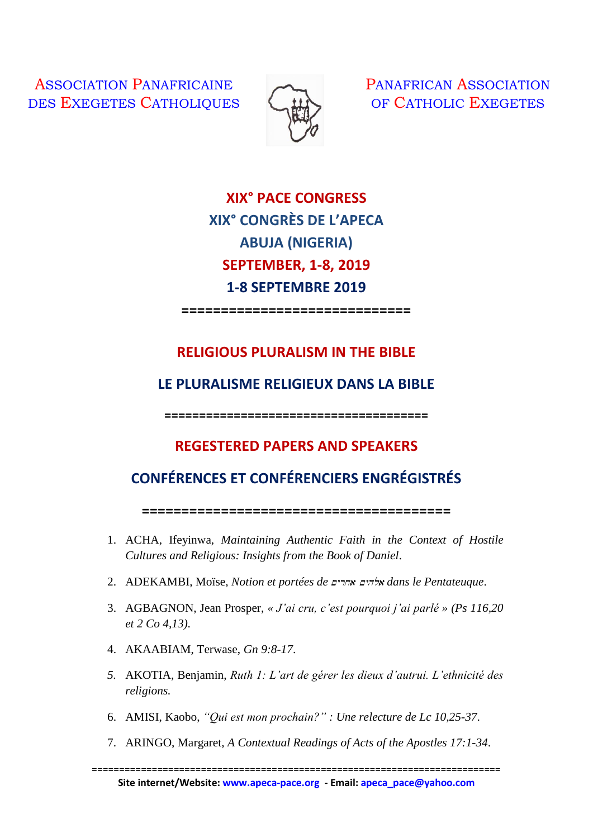ASSOCIATION PANAFRICAINE DES EXEGETES CATHOLIQUES



PANAFRICAN ASSOCIATION OF CATHOLIC EXEGETES

**XIX° PACE CONGRESS XIX° CONGRÈS DE L'APECA ABUJA (NIGERIA) SEPTEMBER, 1-8, 2019 1-8 SEPTEMBRE 2019**

**=============================**

## **RELIGIOUS PLURALISM IN THE BIBLE**

## **LE PLURALISME RELIGIEUX DANS LA BIBLE**

**======================================** 

## **REGESTERED PAPERS AND SPEAKERS**

## **CONFÉRENCES ET CONFÉRENCIERS ENGRÉGISTRÉS**

**=======================================**

- 1. ACHA, Ifeyinwa, *Maintaining Authentic Faith in the Context of Hostile Cultures and Religious: Insights from the Book of Daniel*.
- 2. ADEKAMBI, Moïse, *Notion et portées de* ~yrxa ~yhla *dans le Pentateuque*.
- 3. AGBAGNON, Jean Prosper, *« J'ai cru, c'est pourquoi j'ai parlé » (Ps 116,20 et 2 Co 4,13)*.
- 4. AKAABIAM, Terwase, *Gn 9:8-17*.
- *5.* AKOTIA, Benjamin, *Ruth 1: L'art de gérer les dieux d'autrui. L'ethnicité des religions.*
- 6. AMISI, Kaobo, *"Qui est mon prochain?" : Une relecture de Lc 10,25-37*.
- 7. ARINGO, Margaret, *A Contextual Readings of Acts of the Apostles 17:1-34*.

===========================================================================